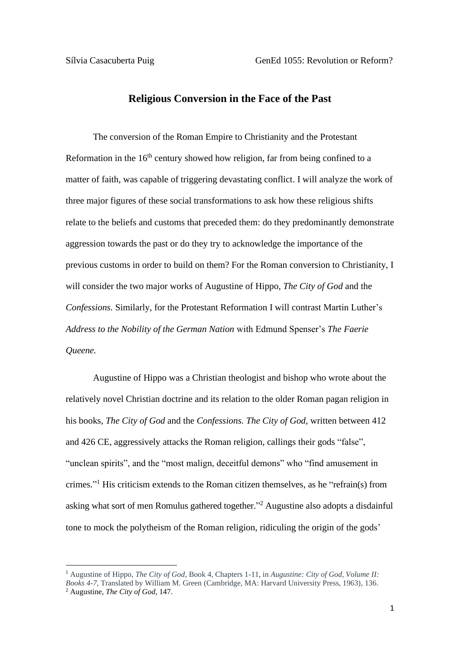## **Religious Conversion in the Face of the Past**

The conversion of the Roman Empire to Christianity and the Protestant Reformation in the  $16<sup>th</sup>$  century showed how religion, far from being confined to a matter of faith, was capable of triggering devastating conflict. I will analyze the work of three major figures of these social transformations to ask how these religious shifts relate to the beliefs and customs that preceded them: do they predominantly demonstrate aggression towards the past or do they try to acknowledge the importance of the previous customs in order to build on them? For the Roman conversion to Christianity, I will consider the two major works of Augustine of Hippo, *The City of God* and the *Confessions.* Similarly, for the Protestant Reformation I will contrast Martin Luther's *Address to the Nobility of the German Nation* with Edmund Spenser's *The Faerie Queene.* 

Augustine of Hippo was a Christian theologist and bishop who wrote about the relatively novel Christian doctrine and its relation to the older Roman pagan religion in his books, *The City of God* and the *Confessions. The City of God*, written between 412 and 426 CE, aggressively attacks the Roman religion, callings their gods "false", "unclean spirits", and the "most malign, deceitful demons" who "find amusement in crimes." <sup>1</sup> His criticism extends to the Roman citizen themselves, as he "refrain(s) from asking what sort of men Romulus gathered together." <sup>2</sup> Augustine also adopts a disdainful tone to mock the polytheism of the Roman religion, ridiculing the origin of the gods'

<sup>1</sup> Augustine of Hippo, *The City of God*, Book 4, Chapters 1-11, in *Augustine: City of God, Volume II: Books 4-7,* Translated by William M. Green (Cambridge, MA: Harvard University Press, 1963), 136. <sup>2</sup> Augustine, *The City of God*, 147.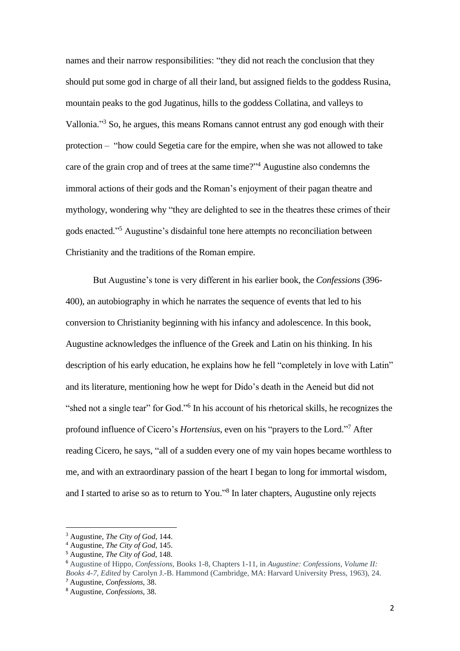names and their narrow responsibilities: "they did not reach the conclusion that they should put some god in charge of all their land, but assigned fields to the goddess Rusina, mountain peaks to the god Jugatinus, hills to the goddess Collatina, and valleys to Vallonia."<sup>3</sup> So, he argues, this means Romans cannot entrust any god enough with their protection – "how could Segetia care for the empire, when she was not allowed to take care of the grain crop and of trees at the same time?" <sup>4</sup> Augustine also condemns the immoral actions of their gods and the Roman's enjoyment of their pagan theatre and mythology, wondering why "they are delighted to see in the theatres these crimes of their gods enacted." <sup>5</sup> Augustine's disdainful tone here attempts no reconciliation between Christianity and the traditions of the Roman empire.

But Augustine's tone is very different in his earlier book, the *Confessions* (396- 400)*,* an autobiography in which he narrates the sequence of events that led to his conversion to Christianity beginning with his infancy and adolescence. In this book, Augustine acknowledges the influence of the Greek and Latin on his thinking. In his description of his early education, he explains how he fell "completely in love with Latin" and its literature, mentioning how he wept for Dido's death in the Aeneid but did not "shed not a single tear" for God."<sup>6</sup> In his account of his rhetorical skills, he recognizes the profound influence of Cicero's *Hortensius*, even on his "prayers to the Lord." <sup>7</sup> After reading Cicero, he says, "all of a sudden every one of my vain hopes became worthless to me, and with an extraordinary passion of the heart I began to long for immortal wisdom, and I started to arise so as to return to You." 8 In later chapters, Augustine only rejects

<sup>3</sup> Augustine, *The City of God*, 144.

<sup>4</sup> Augustine, *The City of God,* 145.

<sup>5</sup> Augustine, *The City of God*, 148.

<sup>6</sup> Augustine of Hippo, *Confessions*, Books 1-8, Chapters 1-11, in *Augustine: Confessions, Volume II: Books 4-7, Edited* by Carolyn J.-B. Hammond (Cambridge, MA: Harvard University Press, 1963), 24. <sup>7</sup> Augustine, *Confessions*, 38.

<sup>8</sup> Augustine, *Confessions*, 38.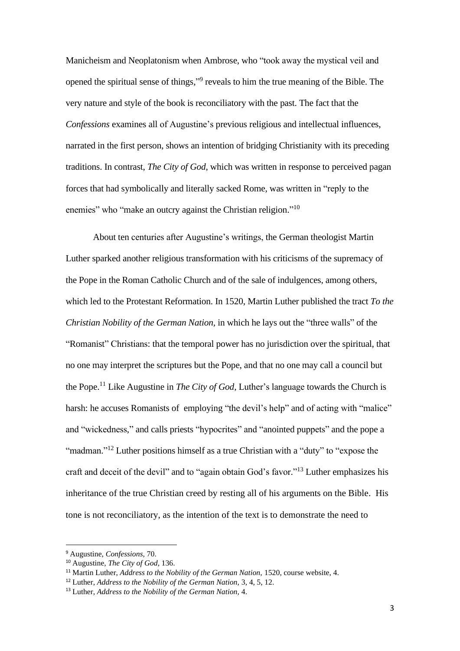Manicheism and Neoplatonism when Ambrose, who "took away the mystical veil and opened the spiritual sense of things," 9 reveals to him the true meaning of the Bible. The very nature and style of the book is reconciliatory with the past. The fact that the *Confessions* examines all of Augustine's previous religious and intellectual influences, narrated in the first person, shows an intention of bridging Christianity with its preceding traditions. In contrast, *The City of God*, which was written in response to perceived pagan forces that had symbolically and literally sacked Rome, was written in "reply to the enemies" who "make an outcry against the Christian religion."<sup>10</sup>

About ten centuries after Augustine's writings, the German theologist Martin Luther sparked another religious transformation with his criticisms of the supremacy of the Pope in the Roman Catholic Church and of the sale of indulgences, among others, which led to the Protestant Reformation. In 1520, Martin Luther published the tract *To the Christian Nobility of the German Nation,* in which he lays out the "three walls" of the "Romanist" Christians: that the temporal power has no jurisdiction over the spiritual, that no one may interpret the scriptures but the Pope, and that no one may call a council but the Pope. <sup>11</sup> Like Augustine in *The City of God,* Luther's language towards the Church is harsh: he accuses Romanists of employing "the devil's help" and of acting with "malice" and "wickedness," and calls priests "hypocrites" and "anointed puppets" and the pope a "madman."<sup>12</sup> Luther positions himself as a true Christian with a "duty" to "expose the craft and deceit of the devil" and to "again obtain God's favor."<sup>13</sup> Luther emphasizes his inheritance of the true Christian creed by resting all of his arguments on the Bible. His tone is not reconciliatory, as the intention of the text is to demonstrate the need to

<sup>9</sup> Augustine, *Confessions*, 70.

<sup>10</sup> Augustine, *The City of God,* 136.

<sup>&</sup>lt;sup>11</sup> Martin Luther, *Address to the Nobility of the German Nation*, 1520, course website, 4.

<sup>12</sup> Luther, *Address to the Nobility of the German Nation,* 3, 4, 5, 12.

<sup>13</sup> Luther, *Address to the Nobility of the German Nation,* 4.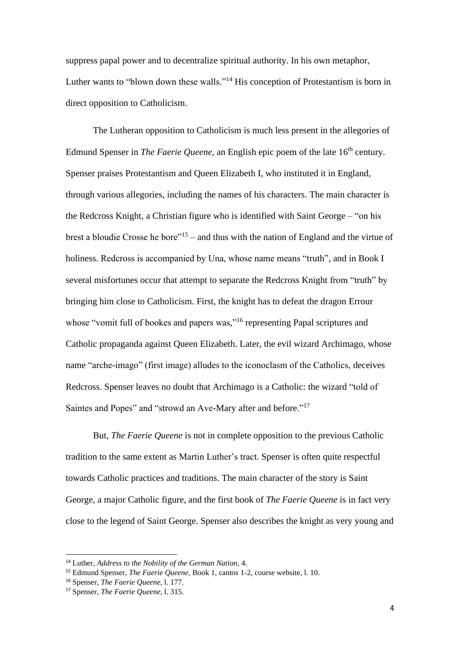suppress papal power and to decentralize spiritual authority. In his own metaphor, Luther wants to "blown down these walls."<sup>14</sup> His conception of Protestantism is born in direct opposition to Catholicism.

The Lutheran opposition to Catholicism is much less present in the allegories of Edmund Spenser in *The Faerie Queene*, an English epic poem of the late 16<sup>th</sup> century. Spenser praises Protestantism and Queen Elizabeth I, who instituted it in England, through various allegories, including the names of his characters. The main character is the Redcross Knight, a Christian figure who is identified with Saint George – "on his brest a bloudie Crosse he bore"<sup>15</sup> – and thus with the nation of England and the virtue of holiness. Redcross is accompanied by Una, whose name means "truth", and in Book I several misfortunes occur that attempt to separate the Redcross Knight from "truth" by bringing him close to Catholicism. First, the knight has to defeat the dragon Errour whose "vomit full of bookes and papers was,"<sup>16</sup> representing Papal scriptures and Catholic propaganda against Queen Elizabeth. Later, the evil wizard Archimago, whose name "arche-imago" (first image) alludes to the iconoclasm of the Catholics, deceives Redcross. Spenser leaves no doubt that Archimago is a Catholic: the wizard "told of Saintes and Popes" and "strowd an Ave-Mary after and before."<sup>17</sup>

But, *The Faerie Queene* is not in complete opposition to the previous Catholic tradition to the same extent as Martin Luther's tract. Spenser is often quite respectful towards Catholic practices and traditions. The main character of the story is Saint George, a major Catholic figure, and the first book of *The Faerie Queene* is in fact very close to the legend of Saint George. Spenser also describes the knight as very young and

<sup>14</sup> Luther, *Address to the Nobility of the German Nation,* 4.

<sup>15</sup> Edmund Spenser, *The Faerie Queene,* Book 1, cantos 1-2, course website, l. 10.

<sup>16</sup> Spenser, *The Faerie Queene,* l. 177.

<sup>17</sup> Spenser, *The Faerie Queene,* l. 315.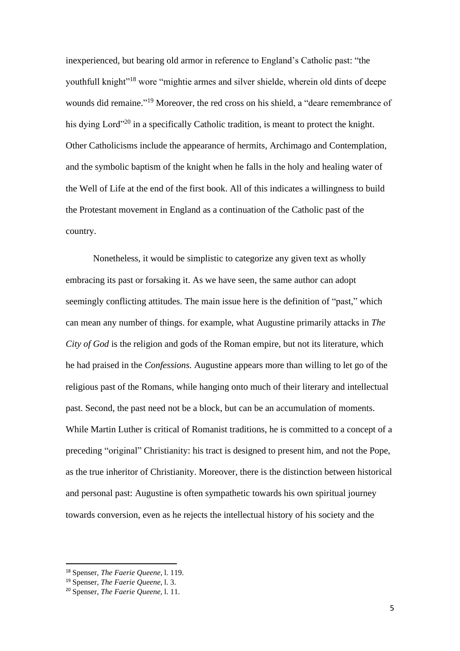inexperienced, but bearing old armor in reference to England's Catholic past: "the youthfull knight<sup>"18</sup> wore "mightie armes and silver shielde, wherein old dints of deepe wounds did remaine." <sup>19</sup> Moreover, the red cross on his shield, a "deare remembrance of his dying Lord"<sup>20</sup> in a specifically Catholic tradition, is meant to protect the knight. Other Catholicisms include the appearance of hermits, Archimago and Contemplation, and the symbolic baptism of the knight when he falls in the holy and healing water of the Well of Life at the end of the first book. All of this indicates a willingness to build the Protestant movement in England as a continuation of the Catholic past of the country.

Nonetheless, it would be simplistic to categorize any given text as wholly embracing its past or forsaking it. As we have seen, the same author can adopt seemingly conflicting attitudes. The main issue here is the definition of "past," which can mean any number of things. for example, what Augustine primarily attacks in *The City of God* is the religion and gods of the Roman empire, but not its literature, which he had praised in the *Confessions.* Augustine appears more than willing to let go of the religious past of the Romans, while hanging onto much of their literary and intellectual past. Second, the past need not be a block, but can be an accumulation of moments. While Martin Luther is critical of Romanist traditions, he is committed to a concept of a preceding "original" Christianity: his tract is designed to present him, and not the Pope, as the true inheritor of Christianity. Moreover, there is the distinction between historical and personal past: Augustine is often sympathetic towards his own spiritual journey towards conversion, even as he rejects the intellectual history of his society and the

<sup>18</sup> Spenser, *The Faerie Queene,* l. 119.

<sup>19</sup> Spenser, *The Faerie Queene,* l. 3.

<sup>20</sup> Spenser, *The Faerie Queene,* l. 11.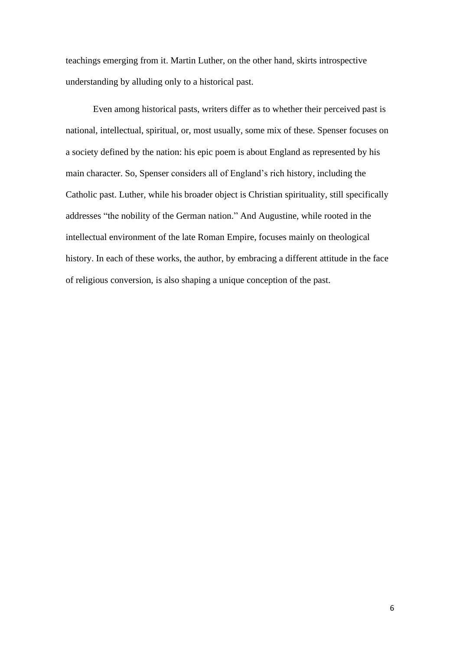teachings emerging from it. Martin Luther, on the other hand, skirts introspective understanding by alluding only to a historical past.

Even among historical pasts, writers differ as to whether their perceived past is national, intellectual, spiritual, or, most usually, some mix of these. Spenser focuses on a society defined by the nation: his epic poem is about England as represented by his main character. So, Spenser considers all of England's rich history, including the Catholic past. Luther, while his broader object is Christian spirituality, still specifically addresses "the nobility of the German nation." And Augustine, while rooted in the intellectual environment of the late Roman Empire, focuses mainly on theological history. In each of these works, the author, by embracing a different attitude in the face of religious conversion, is also shaping a unique conception of the past.